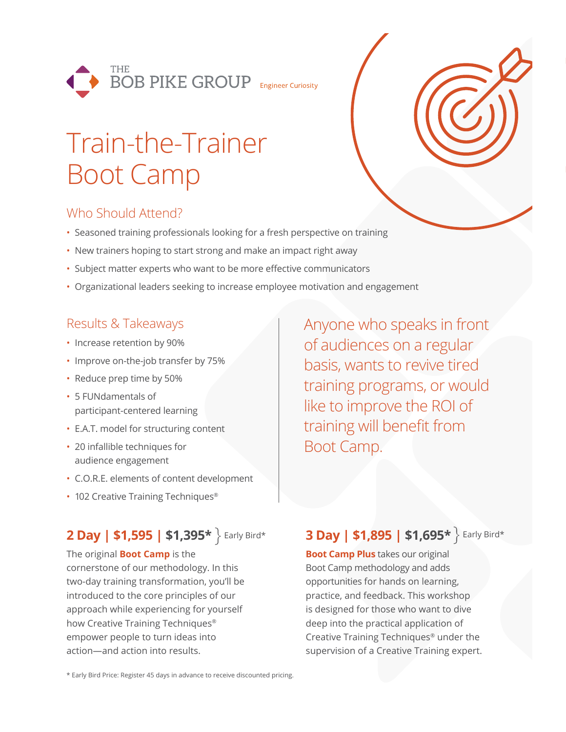

# Train-the-Trainer Boot Camp

# Who Should Attend?

- Seasoned training professionals looking for a fresh perspective on training
- New trainers hoping to start strong and make an impact right away
- Subject matter experts who want to be more effective communicators
- Organizational leaders seeking to increase employee motivation and engagement

### Results & Takeaways

- Increase retention by 90%
- Improve on-the-job transfer by 75%
- Reduce prep time by 50%
- 5 FUNdamentals of participant-centered learning
- E.A.T. model for structuring content
- 20 infallible techniques for audience engagement
- C.O.R.E. elements of content development
- 102 Creative Training Techniques<sup>®</sup>

# **2 Day | \$1,595 | \$1,395\***

The original **Boot Camp** is the cornerstone of our methodology. In this two-day training transformation, you'll be introduced to the core principles of our approach while experiencing for yourself how Creative Training Techniques® empower people to turn ideas into action—and action into results.

Anyone who speaks in front of audiences on a regular basis, wants to revive tired training programs, or would like to improve the ROI of training will benefit from Boot Camp.

## **Early Bird\* 8 Day | \$1,895 | \$1,695\*** Farly Bird\*

**Boot Camp Plus** takes our original Boot Camp methodology and adds opportunities for hands on learning, practice, and feedback. This workshop is designed for those who want to dive deep into the practical application of Creative Training Techniques® under the supervision of a Creative Training expert.

\* Early Bird Price: Register 45 days in advance to receive discounted pricing.